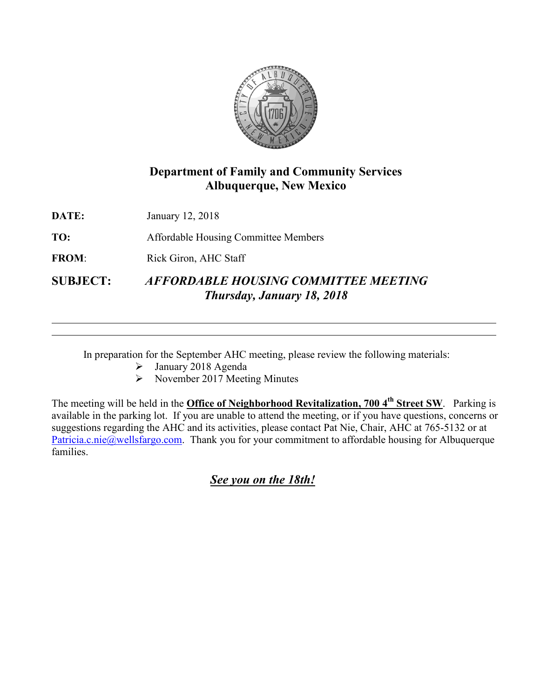

## **Department of Family and Community Services Albuquerque, New Mexico**

**DATE:** January 12, 2018

**TO:** Affordable Housing Committee Members

FROM: Rick Giron, AHC Staff

**SUBJECT:** *AFFORDABLE HOUSING COMMITTEE MEETING Thursday, January 18, 2018*

In preparation for the September AHC meeting, please review the following materials:

- January 2018 Agenda
- $\triangleright$  November 2017 Meeting Minutes

The meeting will be held in the **Office of Neighborhood Revitalization, 700 4th Street SW**. Parking is available in the parking lot. If you are unable to attend the meeting, or if you have questions, concerns or suggestions regarding the AHC and its activities, please contact Pat Nie, Chair, AHC at 765-5132 or at [Patricia.c.nie@wellsfargo.com.](mailto:Patricia.c.nie@wellsfargo.com) Thank you for your commitment to affordable housing for Albuquerque families.

*See you on the 18th!*